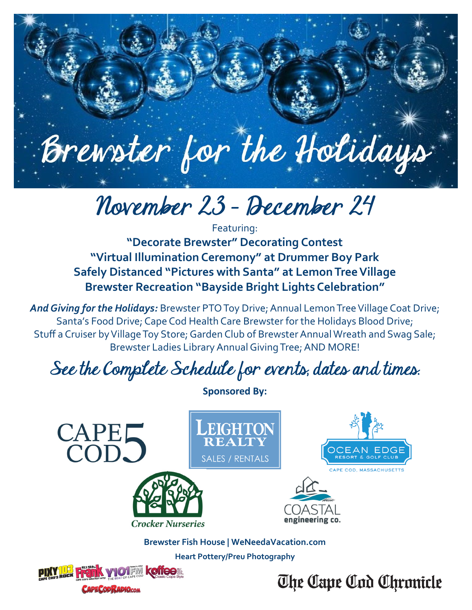

# November 23 — December 24

Featuring: **"Decorate Brewster" Decorating Contest "Virtual Illumination Ceremony" at Drummer Boy Park Safely Distanced "Pictures with Santa" at Lemon Tree Village Brewster Recreation "Bayside Bright Lights Celebration"**

*And Giving for the Holidays:* Brewster PTO Toy Drive; Annual Lemon Tree Village Coat Drive; Santa's Food Drive; Cape Cod Health Care Brewster for the Holidays Blood Drive; Stuff a Cruiser by Village Toy Store; Garden Club of Brewster Annual Wreath and Swag Sale; Brewster Ladies Library Annual Giving Tree; AND MORE!

# See the Complete Schedule for events, dates and times.

**Sponsored By:**CAPEL<br>COD. EIGHTON OCEAN EDGE **SALES / RENTALS** engineering co. **Crocker Nurseries Brewster Fish House | WeNeedaVacation.com Heart Pottery/Preu Photography** FIN KONOO The Cape Cod Chronicle **CAPECOD RADIOCOM**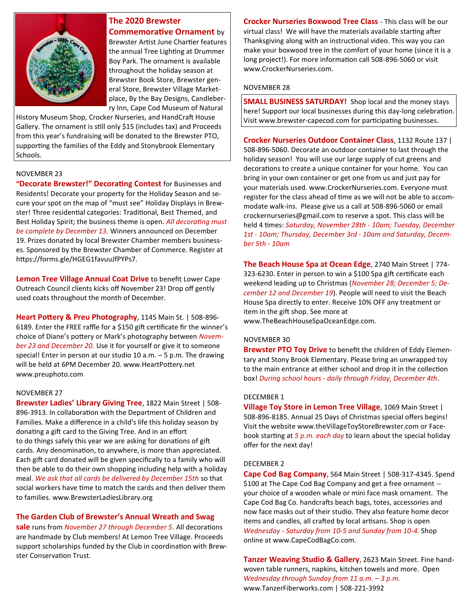

## **The 2020 Brewster Commemorative Ornament** by

Brewster Artist June Chartier features the annual Tree Lighting at Drummer Boy Park. The ornament is available throughout the holiday season at Brewster Book Store, Brewster general Store, Brewster Village Marketplace, By the Bay Designs, Candleberry Inn, Cape Cod Museum of Natural

History Museum Shop, Crocker Nurseries, and HandCraft House Gallery. The ornament is still only \$15 (includes tax) and Proceeds from this year's fundraising will be donated to the Brewster PTO, supporting the families of the Eddy and Stonybrook Elementary Schools.

#### NOVEMBER 23

**"Decorate Brewster!" Decorating Contest** for Businesses and Residents! Decorate your property for the Holiday Season and secure your spot on the map of "must see" Holiday Displays in Brewster! Three residential categories: Traditional, Best Themed, and Best Holiday Spirit; the business theme is open. *All decorating must be complete by December 13.* Winners announced on December 19. Prizes donated by local Brewster Chamber members businesses. Sponsored by the Brewster Chamber of Commerce. Register at https://forms.gle/HGEG1favuuJfPYPs7.

**Lemon Tree Village Annual Coat Drive** to benefit Lower Cape Outreach Council clients kicks off November 23! Drop off gently used coats throughout the month of December.

**Heart Pottery & Preu Photography**, 1145 Main St. | 508-896- 6189. Enter the FREE raffle for a \$150 gift certificate fir the winner's choice of Diane's pottery or Mark's photography between *November 23 and December 20.* Use it for yourself or give it to someone special! Enter in person at our studio 10 a.m. – 5 p.m. The drawing will be held at 6PM December 20. www.HeartPottery.net www.preuphoto.com

#### NOVEMBER 27

**Brewster Ladies' Library Giving Tree**, 1822 Main Street | 508- 896-3913. In collaboration with the Department of Children and Families. Make a difference in a child's life this holiday season by donating a gift card to the Giving Tree. And in an effort to do things safely this year we are asking for donations of gift cards. Any denomination, to anywhere, is more than appreciated. Each gift card donated will be given specifically to a family who will then be able to do their own shopping including help with a holiday meal. *We ask that all cards be delivered by December 15th* so that social workers have time to match the cards and then deliver them to families. www.BrewsterLadiesLibrary.org

### **The Garden Club of Brewster's Annual Wreath and Swag**

**sale** runs from *November 27 through December 5*. All decorations are handmade by Club members! At Lemon Tree Village. Proceeds support scholarships funded by the Club in coordination with Brewster Conservation Trust.

**Crocker Nurseries Boxwood Tree Class** - This class will be our virtual class! We will have the materials available starting after Thanksgiving along with an instructional video. This way you can make your boxwood tree in the comfort of your home (since it is a long project!). For more information call 508-896-5060 or visit www.CrockerNurseries.com.

#### NOVEMBER 28

**SMALL BUSINESS SATURDAY!** Shop local and the money stays here! Support our local businesses during this day-long celebration. Visit www.brewster-capecod.com for participating businesses.

**Crocker Nurseries Outdoor Container Class**, 1132 Route 137 | 508-896-5060. Decorate an outdoor container to last through the holiday season! You will use our large supply of cut greens and decorations to create a unique container for your home. You can bring in your own container or get one from us and just pay for your materials used. www.CrockerNurseries.com. Everyone must register for the class ahead of time as we will not be able to accommodate walk-ins. Please give us a call at 508-896-5060 or email crockernurseries@gmail.com to reserve a spot. This class will be held 4 times: *Saturday, November 28th - 10am; Tuesday, December 1st - 10am; Thursday, December 3rd - 10am and Saturday, December 5th - 10am*

**The Beach House Spa at Ocean Edge**, 2740 Main Street | 774- 323-6230. Enter in person to win a \$100 Spa gift certificate each weekend leading up to Christmas (*November 28; December 5; December 12 and December 19*). People will need to visit the Beach House Spa directly to enter. Receive 10% OFF any treatment or item in the gift shop. See more at www.TheBeachHouseSpaOceanEdge.com.

#### NOVEMBER 30

**Brewster PTO Toy Drive** to benefit the children of Eddy Elementary and Stony Brook Elementary. Please bring an unwrapped toy to the main entrance at either school and drop it in the collection box! *During school hours - daily through Friday, December 4th*.

#### DECEMBER 1

**Village Toy Store in Lemon Tree Village**, 1069 Main Street | 508-896-8185. Annual 25 Days of Christmas special offers begins! Visit the website www.theVillageToyStoreBrewster.com or Facebook starting at *5 p.m. each day* to learn about the special holiday offer for the next day!

#### DECEMBER 2

**Cape Cod Bag Company**, 564 Main Street | 508-317-4345. Spend \$100 at The Cape Cod Bag Company and get a free ornament - your choice of a wooden whale or mini face mask ornament. The Cape Cod Bag Co. handcrafts beach bags, totes, accessories and now face masks out of their studio. They also feature home decor items and candles, all crafted by local artisans. Shop is open *Wednesday - Saturday from 10-5 and Sunday from 10-4.* Shop online at www.CapeCodBagCo.com.

**Tanzer Weaving Studio & Gallery**, 2623 Main Street. Fine handwoven table runners, napkins, kitchen towels and more. Open *Wednesday through Sunday from 11 a.m. – 3 p.m.*  www.TanzerFiberworks.com | 508-221-3992